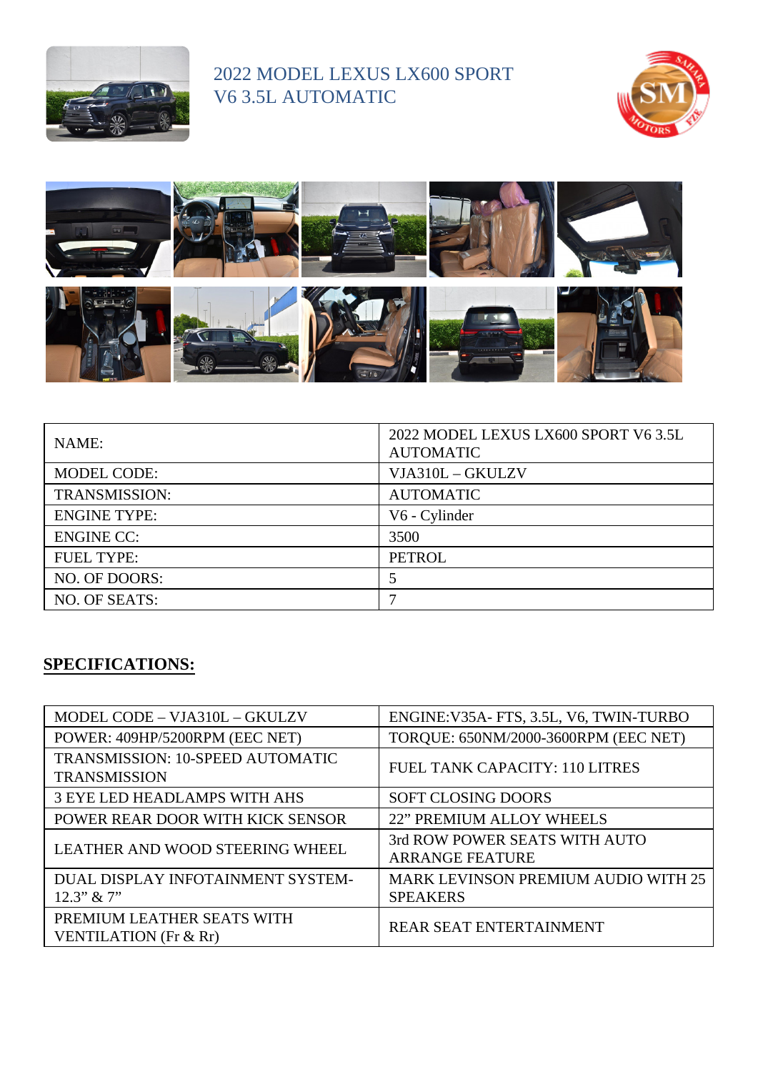

## 2022 MODEL LEXUS LX600 SPORT V6 3.5L AUTOMATIC





| NAME:                | 2022 MODEL LEXUS LX600 SPORT V6 3.5L<br><b>AUTOMATIC</b> |
|----------------------|----------------------------------------------------------|
| <b>MODEL CODE:</b>   | VJA310L - GKULZV                                         |
| <b>TRANSMISSION:</b> | <b>AUTOMATIC</b>                                         |
| <b>ENGINE TYPE:</b>  | V6 - Cylinder                                            |
| <b>ENGINE CC:</b>    | 3500                                                     |
| <b>FUEL TYPE:</b>    | <b>PETROL</b>                                            |
| NO. OF DOORS:        |                                                          |
| NO. OF SEATS:        |                                                          |

## **SPECIFICATIONS:**

| MODEL CODE - VJA310L - GKULZV                           | ENGINE: V35A- FTS, 3.5L, V6, TWIN-TURBO                 |
|---------------------------------------------------------|---------------------------------------------------------|
| POWER: 409HP/5200RPM (EEC NET)                          | TORQUE: 650NM/2000-3600RPM (EEC NET)                    |
| TRANSMISSION: 10-SPEED AUTOMATIC<br><b>TRANSMISSION</b> | FUEL TANK CAPACITY: 110 LITRES                          |
| <b>3 EYE LED HEADLAMPS WITH AHS</b>                     | <b>SOFT CLOSING DOORS</b>                               |
| POWER REAR DOOR WITH KICK SENSOR                        | <b>22" PREMIUM ALLOY WHEELS</b>                         |
| <b>LEATHER AND WOOD STEERING WHEEL</b>                  | 3rd ROW POWER SEATS WITH AUTO<br><b>ARRANGE FEATURE</b> |
| DUAL DISPLAY INFOTAINMENT SYSTEM-<br>$12.3$ " & $7$ "   | MARK LEVINSON PREMIUM AUDIO WITH 25<br><b>SPEAKERS</b>  |
| PREMIUM LEATHER SEATS WITH<br>VENTILATION (Fr & Rr)     | <b>REAR SEAT ENTERTAINMENT</b>                          |